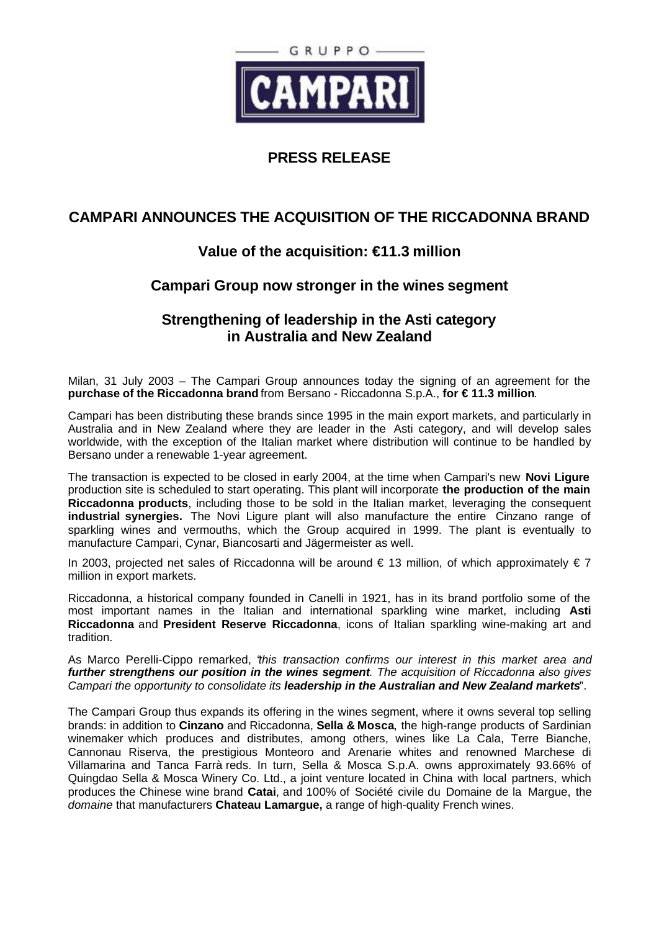

#### **PRESS RELEASE**

## **CAMPARI ANNOUNCES THE ACQUISITION OF THE RICCADONNA BRAND**

### **Value of the acquisition: €11.3 million**

### **Campari Group now stronger in the wines segment**

#### **Strengthening of leadership in the Asti category in Australia and New Zealand**

Milan, 31 July 2003 – The Campari Group announces today the signing of an agreement for the **purchase of the Riccadonna brand** from Bersano - Riccadonna S.p.A., **for € 11.3 million**.

Campari has been distributing these brands since 1995 in the main export markets, and particularly in Australia and in New Zealand where they are leader in the Asti category, and will develop sales worldwide, with the exception of the Italian market where distribution will continue to be handled by Bersano under a renewable 1-year agreement.

The transaction is expected to be closed in early 2004, at the time when Campari's new **Novi Ligure** production site is scheduled to start operating. This plant will incorporate **the production of the main Riccadonna products**, including those to be sold in the Italian market, leveraging the consequent **industrial synergies.** The Novi Ligure plant will also manufacture the entire Cinzano range of sparkling wines and vermouths, which the Group acquired in 1999. The plant is eventually to manufacture Campari, Cynar, Biancosarti and Jägermeister as well.

In 2003, projected net sales of Riccadonna will be around  $\epsilon$  13 million, of which approximately  $\epsilon$  7 million in export markets.

Riccadonna, a historical company founded in Canelli in 1921, has in its brand portfolio some of the most important names in the Italian and international sparkling wine market, including **Asti Riccadonna** and **President Reserve Riccadonna**, icons of Italian sparkling wine-making art and tradition.

As Marco Perelli-Cippo remarked, "*this transaction confirms our interest in this market area and further strengthens our position in the wines segment. The acquisition of Riccadonna also gives Campari the opportunity to consolidate its leadership in the Australian and New Zealand markets*".

The Campari Group thus expands its offering in the wines segment, where it owns several top selling brands: in addition to **Cinzano** and Riccadonna, **Sella & Mosca**, the high-range products of Sardinian winemaker which produces and distributes, among others, wines like La Cala, Terre Bianche, Cannonau Riserva, the prestigious Monteoro and Arenarie whites and renowned Marchese di Villamarina and Tanca Farrà reds. In turn, Sella & Mosca S.p.A. owns approximately 93.66% of Quingdao Sella & Mosca Winery Co. Ltd., a joint venture located in China with local partners, which produces the Chinese wine brand **Catai**, and 100% of Société civile du Domaine de la Margue, the *domaine* that manufacturers **Chateau Lamargue,** a range of high-quality French wines.